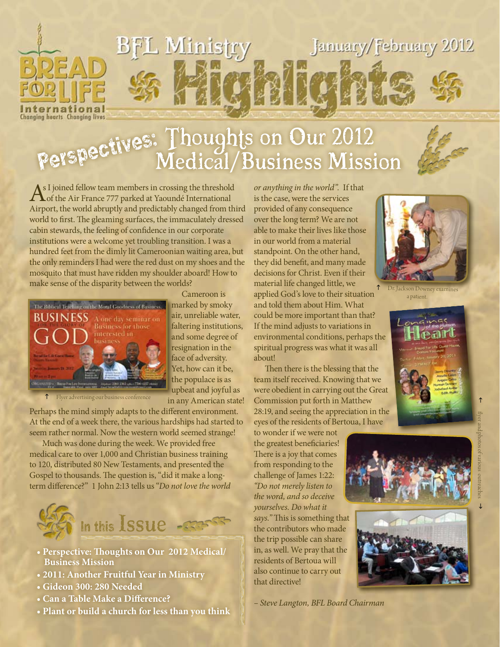

# Perspectives: Thoughts on Our 2012 Medical/Business Mission



A s I joined fellow team members in crossing the threshold of the Air France 777 parked at Yaoundé International Airport, the world abruptly and predictably changed from third world to first. The gleaming surfaces, the immaculately dressed cabin stewards, the feeling of confidence in our corporate institutions were a welcome yet troubling transition. I was a hundred feet from the dimly lit Cameroonian waiting area, but the only reminders I had were the red dust on my shoes and the mosquito that must have ridden my shoulder aboard! How to make sense of the disparity between the worlds?



 Cameroon is marked by smoky air, unreliable water, faltering institutions, and some degree of resignation in the face of adversity. Yet, how can it be, the populace is as upbeat and joyful as in any American state!

Flyer advertising our business conference

Perhaps the mind simply adapts to the different environment. At the end of a week there, the various hardships had started to seem rather normal. Now the western world seemed strange!

 Much was done during the week. We provided free medical care to over 1,000 and Christian business training to 120, distributed 80 New Testaments, and presented the Gospel to thousands. The question is, "did it make a longterm difference?" 1 John 2:13 tells us "*Do not love the world* 



- **Perspective: Thoughts on Our 2012 Medical/ Business Mission**
- **2011: Another Fruitful Year in Ministry**
- **Gideon 300: 280 Needed**
- **Can a Table Make a Difference?**
- **Plant or build a church for less than you think**

*or anything in the world".* If that is the case, were the services provided of any consequence over the long term? We are not able to make their lives like those in our world from a material standpoint. On the other hand, they did benefit, and many made decisions for Christ. Even if their material life changed little, we applied God's love to their situation and told them about Him. What could be more important than that? If the mind adjusts to variations in environmental conditions, perhaps the spiritual progress was what it was all about!

 Then there is the blessing that the team itself received. Knowing that we were obedient in carrying out the Great Commission put forth in Matthew 28:19, and seeing the appreciation in the eyes of the residents of Bertoua, I have

to wonder if we were not the greatest beneficiaries! There is a joy that comes from responding to the challenge of James 1:22: *"Do not merely listen to the word, and so deceive yourselves. Do what it says."* This is something that the contributors who made the trip possible can share in, as well. We pray that the residents of Bertoua will also continue to carry out that directive!

*– Steve Langton, BFL Board Chairman*



Dr. Jackson Downey examines a patient.





 $\uparrow$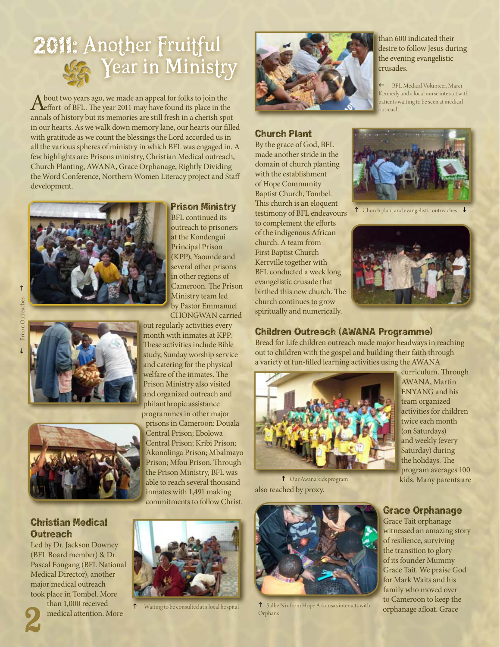# 2011: Another Fruitful **Wear in Ministry**

About two years ago, we made an appeal for folks to join the<br>
effort of BFL. The year 2011 may have found its place in the annals of history but its memories are still fresh in a cherish spot in our hearts. As we walk down memory lane, our hearts our filled with gratitude as we count the blessings the Lord accorded us in all the various spheres of ministry in which BFL was engaged in. A few highlights are: Prisons ministry, Christian Medical outreach, Church Planting, AWANA, Grace Orphanage, Rightly Dividing the Word Conference, Northern Women Literacy project and Staff development.







# Christian Medical **Outreach**

Led by Dr. Jackson Downey (BFL Board member) & Dr. Pascal Fongang (BFL National Medical Director), another major medical outreach took place in Tombel. More than 1,000 received 2

medical attention. More

## Prison Ministry

BFL continued its outreach to prisoners at the Kondengui Principal Prison (KPP), Yaounde and several other prisons in other regions of Cameroon. The Prison Ministry team led by Pastor Emmanuel CHONGWAN carried

out regularly activities every month with inmates at KPP. These activities include Bible study, Sunday worship service and catering for the physical welfare of the inmates. The Prison Ministry also visited and organized outreach and philanthropic assistance programmes in other major prisons in Cameroon: Douala Central Prison; Ebolowa Central Prison; Kribi Prison; Akonolinga Prison; Mbalmayo Prison; Mfou Prison. Through the Prison Ministry, BFL was able to reach several thousand inmates with 1,491 making commitments to follow Christ.

Waiting to be consulted at a local hospital



### Church Plant

By the grace of God, BFL made another stride in the domain of church planting with the establishment of Hope Community Baptist Church, Tombel. This church is an eloquent testimony of BFL endeavours to complement the efforts of the indigenous African church. A team from First Baptist Church Kerrville together with BFL conducted a week long evangelistic crusade that birthed this new church. The church continues to grow spiritually and numerically.



 $\leftarrow$  BFL Medical Volunteer, Marci Kennedy and a local nurse interact with patients waiting to be seen at medical outreach



 $\uparrow$  Church plant and evangelistic outreaches  $\downarrow$ 



### Children Outreach (AWANA Programme)

Bread for Life children outreach made major headways in reaching out to children with the gospel and building their faith through a variety of fun-filled learning activities using the AWANA



also reached by proxy. h Our Awana kids program



h Sallie Nix from Hope Arkansas interacts with Orphans

curriculum. Through AWANA, Martin ENYANG and his team organized activities for children twice each month (on Saturdays) and weekly (every Saturday) during the holidays. The program averages 100 kids. Many parents are

### Grace Orphanage

Grace Tait orphanage witnessed an amazing story of resilience, surviving the transition to glory of its founder Mummy Grace Tait. We praise God for Mark Waits and his family who moved over to Cameroon to keep the orphanage afloat. Grace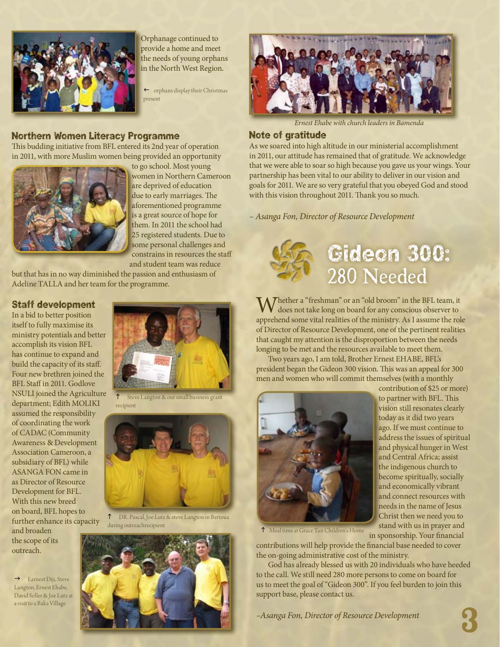

Orphanage continued to provide a home and meet the needs of young orphans in the North West Region.

 $\leftarrow$  orphans display their Christmas present

#### Northern Women Literacy Programme

This budding initiative from BFL entered its 2nd year of operation in 2011, with more Muslim women being provided an opportunity



to go school. Most young women in Northern Cameroon are deprived of education due to early marriages. The aforementioned programme is a great source of hope for them. In 2011 the school had 25 registered students. Due to some personal challenges and constrains in resources the staff and student team was reduce

but that has in no way diminished the passion and enthusiasm of Adeline TALLA and her team for the programme.

#### Staff development

In a bid to better position itself to fully maximise its ministry potentials and better accomplish its vision BFL has continue to expand and build the capacity of its staff. Four new brethren joined the BFL Staff in 2011. Godlove NSULI joined the Agriculture department; Edith MOLIKI assumed the responsibility of coordinating the work of CADAC (Community Awareness & Development Association Cameroon, a subsidiary of BFL) while ASANGA FON came in as Director of Resource Development for BFL. With this new breed on board, BFL hopes to further enhance its capacity and broaden

the scope of its outreach.

 $\rightarrow$  Earnest Diji, Steve Langton, Ernest Ehabe, David Seller & Joe Lutz at a visit to a Baka Village



Steve Langton & our small business grant recipient



h DR. Pascal, Joe Lutz & steve Langton in Bertoua during outreachrecipient





*Ernest Ehabe with church leaders in Bamenda*

#### Note of gratitude

As we soared into high altitude in our ministerial accomplishment in 2011, our attitude has remained that of gratitude. We acknowledge that we were able to soar so high because you gave us your wings. Your partnership has been vital to our ability to deliver in our vision and goals for 2011. We are so very grateful that you obeyed God and stood with this vision throughout 2011. Thank you so much.

*– Asanga Fon, Director of Resource Development*



# Gideon 300: 280 Needed

contribution of \$25 or more) to partner with BFL. This vision still resonates clearly today as it did two years ago. If we must continue to address the issues of spiritual and physical hunger in West and Central Africa; assist the indigenous church to become spiritually, socially and economically vibrant and connect resources with needs in the name of Jesus Christ then we need you to stand with us in prayer and

Whether a "freshman" or an "old broom" in the BFL team, it does not take long on board for any conscious observer to apprehend some vital realities of the ministry. As I assume the role of Director of Resource Development, one of the pertinent realities that caught my attention is the disproportion between the needs longing to be met and the resources available to meet them.

 Two years ago, I am told, Brother Ernest EHABE, BFL's president began the Gideon 300 vision. This was an appeal for 300 men and women who will commit themselves (with a monthly



h Meal time at Grace Tait Children's Home

in sponsorship. Your financial contributions will help provide the financial base needed to cover the on-going administrative cost of the ministry.

 God has already blessed us with 20 individuals who have heeded to the call. We still need 280 more persons to come on board for us to meet the goal of "Gideon 300". If you feel burden to join this support base, please contact us.

3